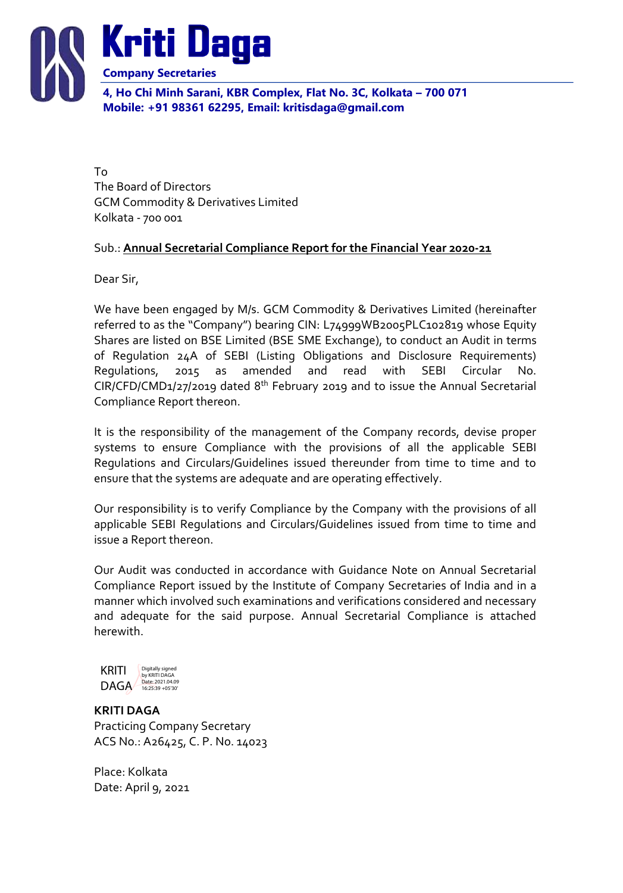

To The Board of Directors GCM Commodity & Derivatives Limited Kolkata - 700 001

## Sub.: **Annual Secretarial Compliance Report for the Financial Year 2020-21**

Dear Sir,

We have been engaged by M/s. GCM Commodity & Derivatives Limited (hereinafter referred to as the "Company") bearing CIN: L74999WB2005PLC102819 whose Equity Shares are listed on BSE Limited (BSE SME Exchange), to conduct an Audit in terms of Regulation 24A of SEBI (Listing Obligations and Disclosure Requirements) Regulations, 2015 as amended and read with SEBI Circular No. CIR/CFD/CMD1/27/2019 dated 8th February 2019 and to issue the Annual Secretarial Compliance Report thereon.

It is the responsibility of the management of the Company records, devise proper systems to ensure Compliance with the provisions of all the applicable SEBI Regulations and Circulars/Guidelines issued thereunder from time to time and to ensure that the systems are adequate and are operating effectively.

Our responsibility is to verify Compliance by the Company with the provisions of all applicable SEBI Regulations and Circulars/Guidelines issued from time to time and issue a Report thereon.

Our Audit was conducted in accordance with Guidance Note on Annual Secretarial Compliance Report issued by the Institute of Company Secretaries of India and in a manner which involved such examinations and verifications considered and necessary and adequate for the said purpose. Annual Secretarial Compliance is attached herewith.

KRITI **DAGA** Digitally signed by KRITI DAGA Date: 2021.04.09 16:25:39 +05'30'

**KRITI DAGA** Practicing Company Secretary ACS No.: A26425, C. P. No. 14023

Place: Kolkata Date: April 9, 2021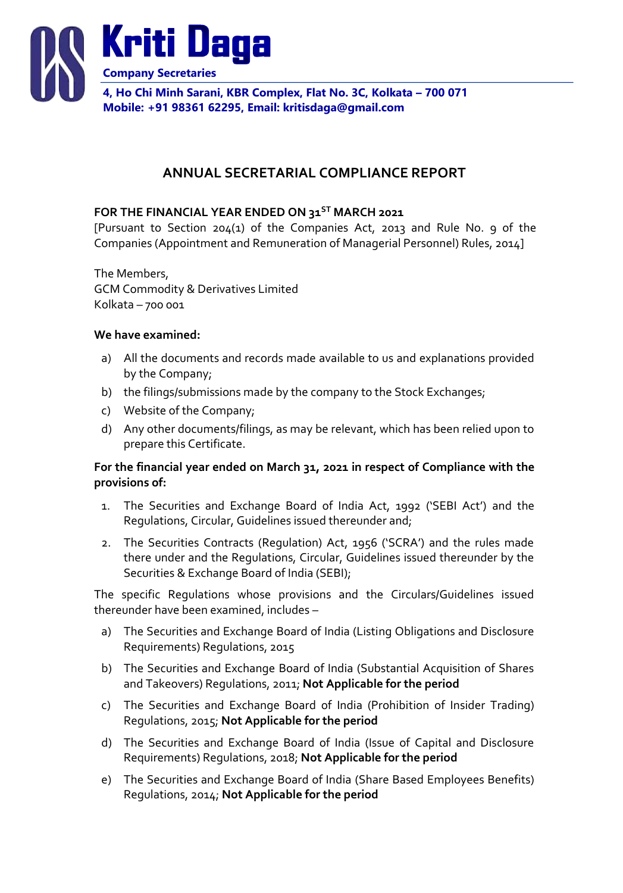

# **ANNUAL SECRETARIAL COMPLIANCE REPORT**

#### **FOR THE FINANCIAL YEAR ENDED ON 31ST MARCH 2021**

[Pursuant to Section 204(1) of the Companies Act, 2013 and Rule No. 9 of the Companies (Appointment and Remuneration of Managerial Personnel) Rules, 2014]

The Members, GCM Commodity & Derivatives Limited Kolkata – 700 001

#### **We have examined:**

- a) All the documents and records made available to us and explanations provided by the Company;
- b) the filings/submissions made by the company to the Stock Exchanges;
- c) Website of the Company;
- d) Any other documents/filings, as may be relevant, which has been relied upon to prepare this Certificate.

### **For the financial year ended on March 31, 2021 in respect of Compliance with the provisions of:**

- 1. The Securities and Exchange Board of India Act, 1992 ('SEBI Act') and the Regulations, Circular, Guidelines issued thereunder and;
- 2. The Securities Contracts (Regulation) Act, 1956 ('SCRA') and the rules made there under and the Regulations, Circular, Guidelines issued thereunder by the Securities & Exchange Board of India (SEBI);

The specific Regulations whose provisions and the Circulars/Guidelines issued thereunder have been examined, includes –

- a) The Securities and Exchange Board of India (Listing Obligations and Disclosure Requirements) Regulations, 2015
- b) The Securities and Exchange Board of India (Substantial Acquisition of Shares and Takeovers) Regulations, 2011; **Not Applicable for the period**
- c) The Securities and Exchange Board of India (Prohibition of Insider Trading) Regulations, 2015; **Not Applicable for the period**
- d) The Securities and Exchange Board of India (Issue of Capital and Disclosure Requirements) Regulations, 2018; **Not Applicable for the period**
- e) The Securities and Exchange Board of India (Share Based Employees Benefits) Regulations, 2014; **Not Applicable for the period**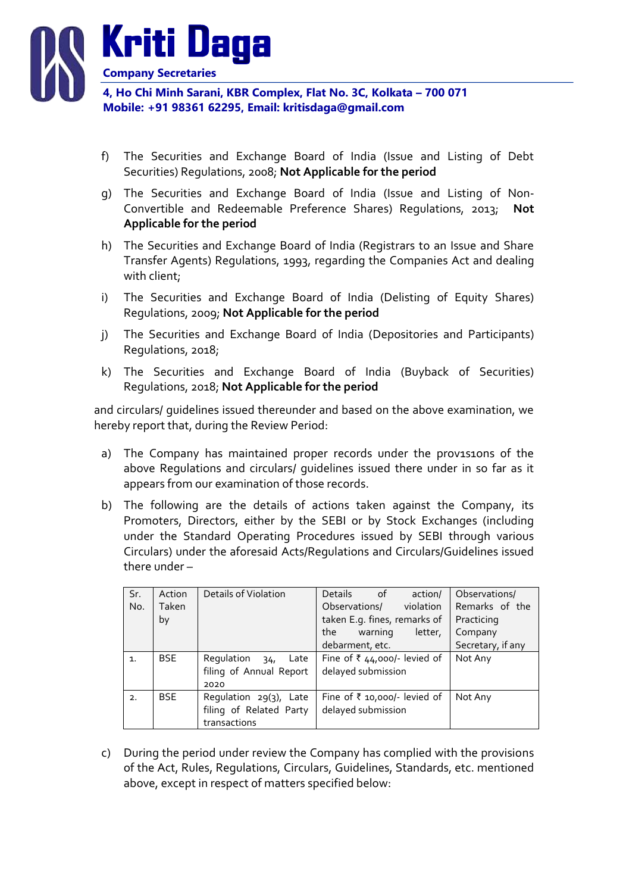

- f) The Securities and Exchange Board of India (Issue and Listing of Debt Securities) Regulations, 2008; **Not Applicable for the period**
- g) The Securities and Exchange Board of India (Issue and Listing of Non-Convertible and Redeemable Preference Shares) Regulations, 2013; **Not Applicable for the period**
- h) The Securities and Exchange Board of India (Registrars to an Issue and Share Transfer Agents) Regulations, 1993, regarding the Companies Act and dealing with client;
- i) The Securities and Exchange Board of India (Delisting of Equity Shares) Regulations, 2009; **Not Applicable for the period**
- j) The Securities and Exchange Board of India (Depositories and Participants) Regulations, 2018;
- k) The Securities and Exchange Board of India (Buyback of Securities) Regulations, 2018; **Not Applicable for the period**

and circulars/ guidelines issued thereunder and based on the above examination, we hereby report that, during the Review Period:

- a) The Company has maintained proper records under the prov1s1ons of the above Regulations and circulars/ guidelines issued there under in so far as it appears from our examination of those records.
- b) The following are the details of actions taken against the Company, its Promoters, Directors, either by the SEBI or by Stock Exchanges (including under the Standard Operating Procedures issued by SEBI through various Circulars) under the aforesaid Acts/Regulations and Circulars/Guidelines issued there under –

| Sr.            | Action     | Details of Violation                  | <b>Details</b><br>of _<br>action/ | Observations/     |
|----------------|------------|---------------------------------------|-----------------------------------|-------------------|
| No.            | Taken      |                                       | violation<br>Observations/        | Remarks of the    |
|                | by         |                                       | taken E.g. fines, remarks of      | Practicing        |
|                |            |                                       | the<br>letter,<br>warning         | Company           |
|                |            |                                       | debarment, etc.                   | Secretary, if any |
| $\mathbf{1}$ . | <b>BSE</b> | Regulation<br>Late<br>34 <sub>1</sub> | Fine of ₹ 44,000/- levied of      | Not Any           |
|                |            | filing of Annual Report               | delayed submission                |                   |
|                |            | 2020                                  |                                   |                   |
| 2.             | <b>BSE</b> | Requlation 29(3), Late                | Fine of ₹ 10,000/- levied of      | Not Any           |
|                |            | filing of Related Party               | delayed submission                |                   |
|                |            | transactions                          |                                   |                   |

c) During the period under review the Company has complied with the provisions of the Act, Rules, Regulations, Circulars, Guidelines, Standards, etc. mentioned above, except in respect of matters specified below: